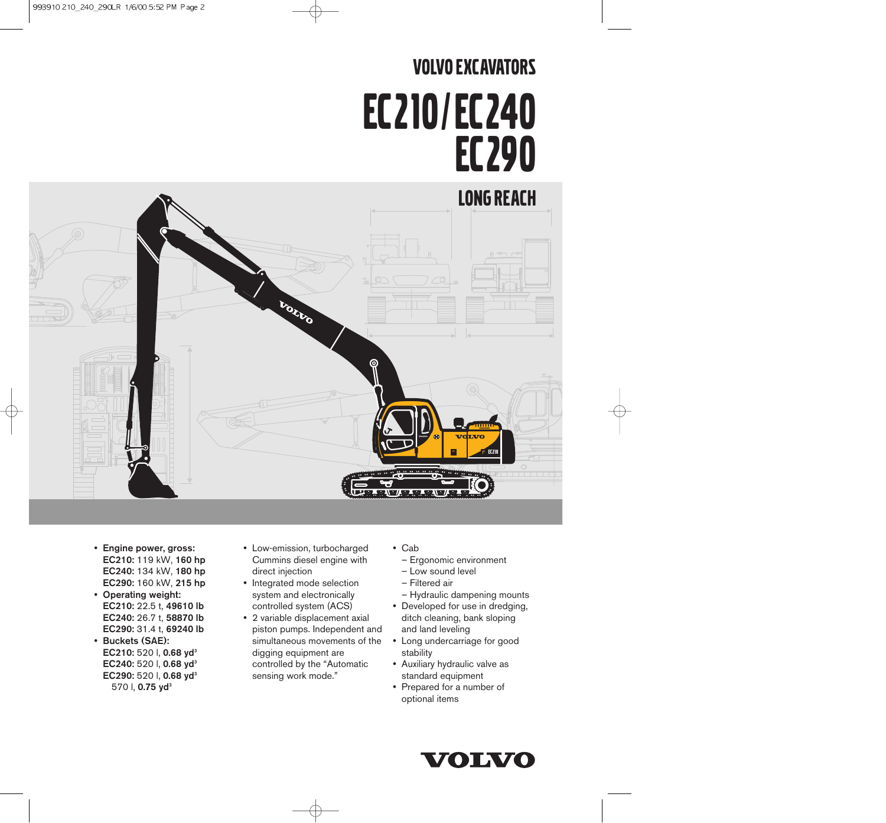# VOLVO EXCAVATORS EC210/ EC240 EC290



- Engine power, gross: EC210: 119 kW, 160 hp EC240: 134 kW, 180 hp EC290: 160 kW, 215 hp
- Operating weight: EC210: 22.5 t, 49610 lb EC240: 26.7 t, 58870 lb EC290: 31.4 t, 69240 lb
- Buckets (SAE): EC210: 520 l, 0.68 yd<sup>3</sup> EC240: 520 l, 0.68 yd<sup>3</sup> EC290: 520 l, 0.68 yd<sup>3</sup> 570 l, 0.75 yd<sup>3</sup>
- Low-emission, turbocharged Cummins diesel engine with direct injection
- Integrated mode selection system and electronically controlled system (ACS)
- 2 variable displacement axial piston pumps. Independent and simultaneous movements of the digging equipment are controlled by the "Automatic sensing work mode."
- Cab
	- Ergonomic environment
	- Low sound level
	- Filtered air
	- Hydraulic dampening mounts
- Developed for use in dredging, ditch cleaning, bank sloping and land leveling
- Long undercarriage for good stability
- Auxiliary hydraulic valve as standard equipment
- Prepared for a number of optional items

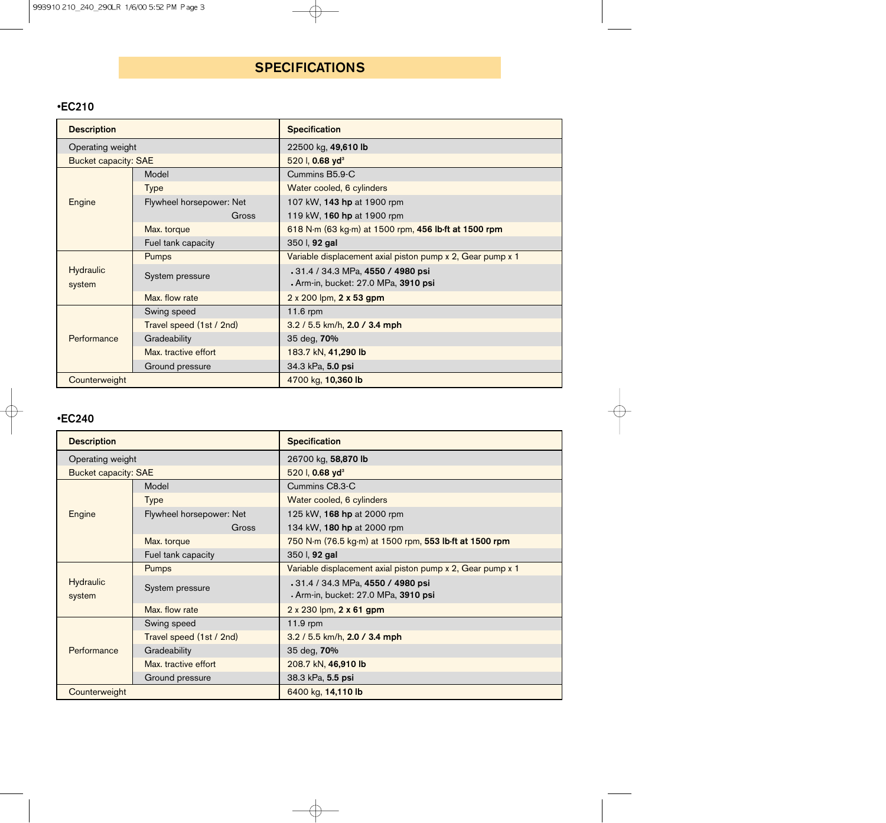# **SPECIFICATIONS**

## •EC210

| <b>Description</b>          |                          | <b>Specification</b>                                                            |  |  |  |  |  |  |  |
|-----------------------------|--------------------------|---------------------------------------------------------------------------------|--|--|--|--|--|--|--|
| Operating weight            |                          | 22500 kg, 49,610 lb                                                             |  |  |  |  |  |  |  |
| <b>Bucket capacity: SAE</b> |                          | 520 l, 0.68 yd <sup>3</sup>                                                     |  |  |  |  |  |  |  |
|                             | Model                    | Cummins B5.9-C                                                                  |  |  |  |  |  |  |  |
|                             | <b>Type</b>              | Water cooled, 6 cylinders                                                       |  |  |  |  |  |  |  |
| Engine                      | Flywheel horsepower: Net | 107 kW, 143 hp at 1900 rpm                                                      |  |  |  |  |  |  |  |
|                             | Gross                    | 119 kW, 160 hp at 1900 rpm                                                      |  |  |  |  |  |  |  |
|                             | Max. torque              | 618 N·m (63 kg·m) at 1500 rpm, 456 lb·ft at 1500 rpm                            |  |  |  |  |  |  |  |
|                             | Fuel tank capacity       | 350 l, 92 gal                                                                   |  |  |  |  |  |  |  |
|                             | Pumps                    | Variable displacement axial piston pump x 2, Gear pump x 1                      |  |  |  |  |  |  |  |
| <b>Hydraulic</b><br>system  | System pressure          | 31.4 / 34.3 MPa, 4550 / 4980 psi<br>• Arm-in, bucket: 27.0 MPa, <b>3910 psi</b> |  |  |  |  |  |  |  |
|                             | Max. flow rate           | 2 x 200 lpm, 2 x 53 gpm                                                         |  |  |  |  |  |  |  |
|                             | Swing speed              | 11.6 rpm                                                                        |  |  |  |  |  |  |  |
|                             | Travel speed (1st / 2nd) | 3.2 / 5.5 km/h, 2.0 / 3.4 mph                                                   |  |  |  |  |  |  |  |
| Performance                 | Gradeability             | 35 deg, 70%                                                                     |  |  |  |  |  |  |  |
|                             | Max. tractive effort     | 183.7 kN, 41,290 lb                                                             |  |  |  |  |  |  |  |
|                             | Ground pressure          | 34.3 kPa, 5.0 psi                                                               |  |  |  |  |  |  |  |
| Counterweight               |                          | 4700 kg, 10,360 lb                                                              |  |  |  |  |  |  |  |

## •EC240

| <b>Description</b>          |                          | <b>Specification</b>                                                      |  |  |  |  |  |  |  |  |
|-----------------------------|--------------------------|---------------------------------------------------------------------------|--|--|--|--|--|--|--|--|
| Operating weight            |                          | 26700 kg, 58,870 lb                                                       |  |  |  |  |  |  |  |  |
| <b>Bucket capacity: SAE</b> |                          | 520 l, 0.68 yd <sup>3</sup>                                               |  |  |  |  |  |  |  |  |
|                             | Model                    | Cummins C8.3-C                                                            |  |  |  |  |  |  |  |  |
|                             | <b>Type</b>              | Water cooled, 6 cylinders                                                 |  |  |  |  |  |  |  |  |
| Engine                      | Flywheel horsepower: Net | 125 kW, 168 hp at 2000 rpm                                                |  |  |  |  |  |  |  |  |
|                             | Gross                    | 134 kW, 180 hp at 2000 rpm                                                |  |  |  |  |  |  |  |  |
|                             | Max. torque              | 750 N·m (76.5 kg·m) at 1500 rpm, 553 lb·ft at 1500 rpm                    |  |  |  |  |  |  |  |  |
|                             | Fuel tank capacity       | 350 l, 92 gal                                                             |  |  |  |  |  |  |  |  |
|                             | Pumps                    | Variable displacement axial piston pump x 2, Gear pump x 1                |  |  |  |  |  |  |  |  |
| <b>Hydraulic</b><br>system  | System pressure          | .31.4 / 34.3 MPa, 4550 / 4980 psi<br>· Arm-in, bucket: 27.0 MPa, 3910 psi |  |  |  |  |  |  |  |  |
|                             | Max. flow rate           | 2 x 230 lpm, 2 x 61 gpm                                                   |  |  |  |  |  |  |  |  |
|                             | Swing speed              | $11.9$ rpm                                                                |  |  |  |  |  |  |  |  |
|                             | Travel speed (1st / 2nd) | 3.2 / 5.5 km/h, 2.0 / 3.4 mph                                             |  |  |  |  |  |  |  |  |
| Performance                 | Gradeability             | 35 deg, 70%                                                               |  |  |  |  |  |  |  |  |
|                             | Max. tractive effort     | 208.7 kN, 46,910 lb                                                       |  |  |  |  |  |  |  |  |
|                             | Ground pressure          | 38.3 kPa, 5.5 psi                                                         |  |  |  |  |  |  |  |  |
| Counterweight               |                          | 6400 kg, 14,110 lb                                                        |  |  |  |  |  |  |  |  |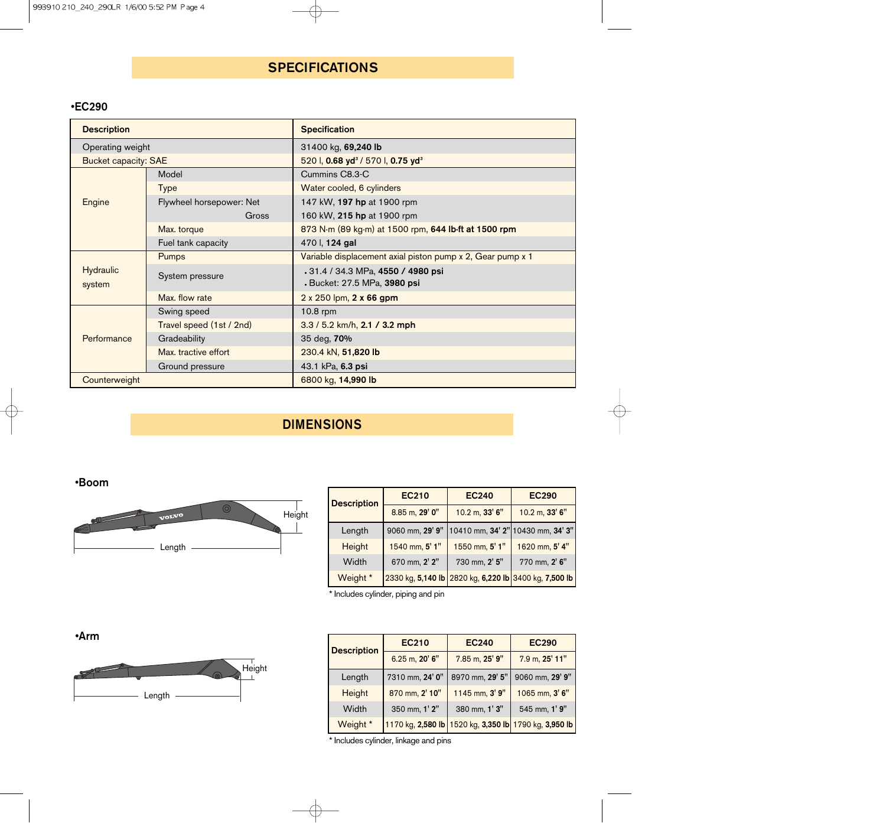# **SPECIFICATIONS**

## •EC290

| <b>Description</b>          |                          | <b>Specification</b>                                              |  |  |  |  |  |  |  |  |
|-----------------------------|--------------------------|-------------------------------------------------------------------|--|--|--|--|--|--|--|--|
| Operating weight            |                          | 31400 kg, 69,240 lb                                               |  |  |  |  |  |  |  |  |
| <b>Bucket capacity: SAE</b> |                          | 520 l, 0.68 yd <sup>3</sup> / 570 l, 0.75 yd <sup>3</sup>         |  |  |  |  |  |  |  |  |
|                             | Model                    | Cummins C8.3-C                                                    |  |  |  |  |  |  |  |  |
|                             | <b>Type</b>              | Water cooled, 6 cylinders                                         |  |  |  |  |  |  |  |  |
| Engine                      | Flywheel horsepower: Net | 147 kW, 197 hp at 1900 rpm                                        |  |  |  |  |  |  |  |  |
|                             | Gross                    | 160 kW, 215 hp at 1900 rpm                                        |  |  |  |  |  |  |  |  |
|                             | Max. torque              | 873 N·m (89 kg·m) at 1500 rpm, 644 lb·ft at 1500 rpm              |  |  |  |  |  |  |  |  |
|                             | Fuel tank capacity       | 470 l, 124 gal                                                    |  |  |  |  |  |  |  |  |
|                             | Pumps                    | Variable displacement axial piston pump x 2, Gear pump x 1        |  |  |  |  |  |  |  |  |
| Hydraulic<br>system         | System pressure          | .31.4 / 34.3 MPa, 4550 / 4980 psi<br>· Bucket: 27.5 MPa, 3980 psi |  |  |  |  |  |  |  |  |
|                             | Max. flow rate           | 2 x 250 lpm, 2 x 66 gpm                                           |  |  |  |  |  |  |  |  |
|                             | Swing speed              | $10.8$ rpm                                                        |  |  |  |  |  |  |  |  |
|                             | Travel speed (1st / 2nd) | 3.3 / 5.2 km/h, 2.1 / 3.2 mph                                     |  |  |  |  |  |  |  |  |
| Performance                 | Gradeability             | 35 deg, 70%                                                       |  |  |  |  |  |  |  |  |
|                             | Max. tractive effort     | 230.4 kN, 51,820 lb                                               |  |  |  |  |  |  |  |  |
|                             | Ground pressure          | 43.1 kPa, 6.3 psi                                                 |  |  |  |  |  |  |  |  |
| Counterweight               |                          | 6800 kg, 14,990 lb                                                |  |  |  |  |  |  |  |  |

# DIMENSIONS

## •Boom



| <b>Description</b> | <b>EC210</b>      | <b>EC240</b>   | <b>EC290</b>                        |
|--------------------|-------------------|----------------|-------------------------------------|
|                    | 8.85 m, 29' 0"    | 10.2 m, 33' 6" | 10.2 m, 33' 6"                      |
| Length             | 9060 mm, 29' 9"   |                | 10410 mm, 34' 2" 10430 mm, 34' 3"   |
| Height             | 1540 mm, 5' 1"    | 1550 mm, 5' 1" | 1620 mm, 5' 4"                      |
| Width              | 670 mm, 2' 2"     | 730 mm, 2' 5"  | 770 mm, 2' 6"                       |
| Weight *           | 2330 kg, 5,140 lb |                | 2820 kg, 6,220 lb 3400 kg, 7,500 lb |

\* Includes cylinder, piping and pin

|--|



| <b>Description</b> | <b>EC210</b>      | <b>EC240</b>      | <b>EC290</b>      |
|--------------------|-------------------|-------------------|-------------------|
|                    | 6.25 m, 20' 6"    | 7.85 m, 25' 9"    | 7.9 m, 25' 11"    |
| Length             | 7310 mm, 24' 0"   | 8970 mm, 29' 5"   | 9060 mm, 29' 9"   |
| Height             | 870 mm, 2' 10"    | 1145 mm, 3' 9"    | 1065 mm, 3' 6"    |
| Width              | 350 mm, 1' 2"     | 380 mm, 1' 3"     | 545 mm, 1' 9"     |
| Weight *           | 1170 kg, 2,580 lb | 1520 kg, 3,350 lb | 1790 kg, 3,950 lb |

\* Includes cylinder, linkage and pins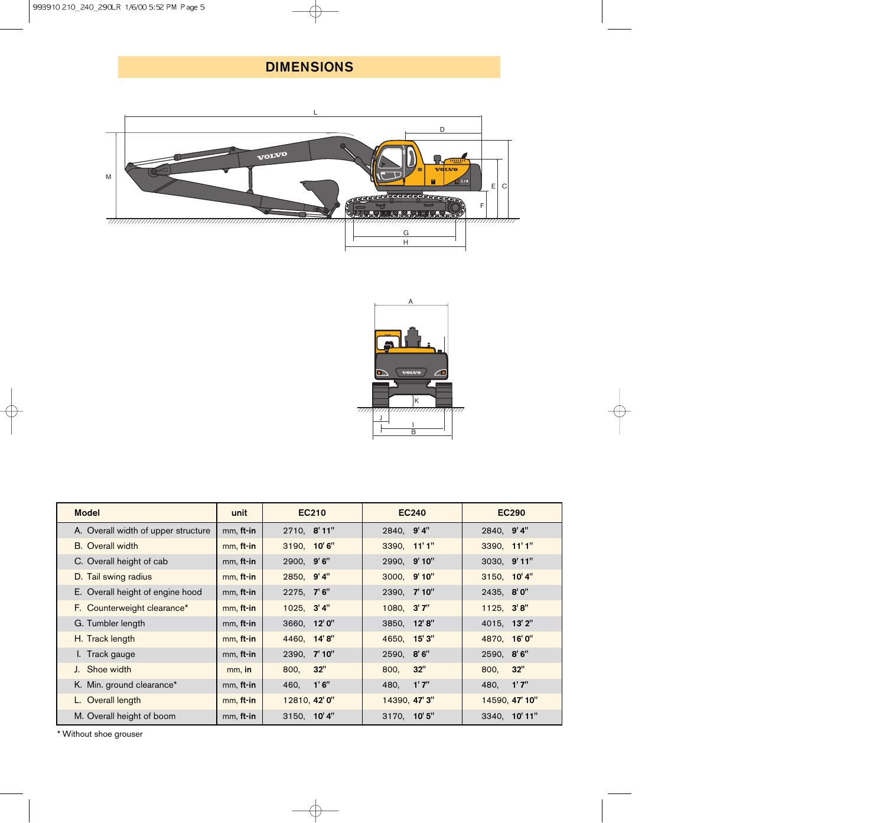# DIMENSIONS





| <b>Model</b>                        | unit      | <b>EC210</b>  | <b>EC240</b>  | <b>EC290</b>   |
|-------------------------------------|-----------|---------------|---------------|----------------|
| A. Overall width of upper structure | mm, ft-in | 2710, 8'11"   | 2840, 9'4"    | 2840, 9'4"     |
| <b>B.</b> Overall width             | mm, ft-in | 3190, 10'6"   | 3390, 11'1"   | 3390, 11'1"    |
| C. Overall height of cab            | mm, ft-in | 2900, 9'6"    | 2990, 9'10"   | 3030, 9'11"    |
| D. Tail swing radius                | mm, ft-in | 2850, 9'4"    | 3000, 9'10"   | 3150, 10'4"    |
| E. Overall height of engine hood    | mm, ft-in | 2275, 7'6"    | 2390, 7'10"   | 2435, 8'0"     |
| F. Counterweight clearance*         | mm, ft-in | 1025, 3'4"    | 1080, 3'7"    | 1125, 3'8"     |
| G. Tumbler length                   | mm, ft-in | 3660, 12'0"   | 3850, 12'8"   | 4015, 13'2"    |
| H. Track length                     | mm, ft-in | 4460, 14'8"   | 4650, 15'3"   | 4870, 16'0"    |
| I. Track gauge                      | mm, ft-in | 2390, 7'10"   | 2590, 8'6"    | 2590, 8'6"     |
| J. Shoe width                       | mm, in    | 32"<br>800,   | 32"<br>800,   | 32"<br>800,    |
| K. Min. ground clearance*           | mm, ft-in | 460, 1'6"     | 1'7''<br>480, | 1'7''<br>480,  |
| L. Overall length                   | mm, ft-in | 12810, 42' 0" | 14390, 47' 3" | 14590, 47' 10" |
| M. Overall height of boom           | mm, ft-in | 3150, 10'4"   | 3170, 10'5"   | 3340, 10'11"   |

\* Without shoe grouser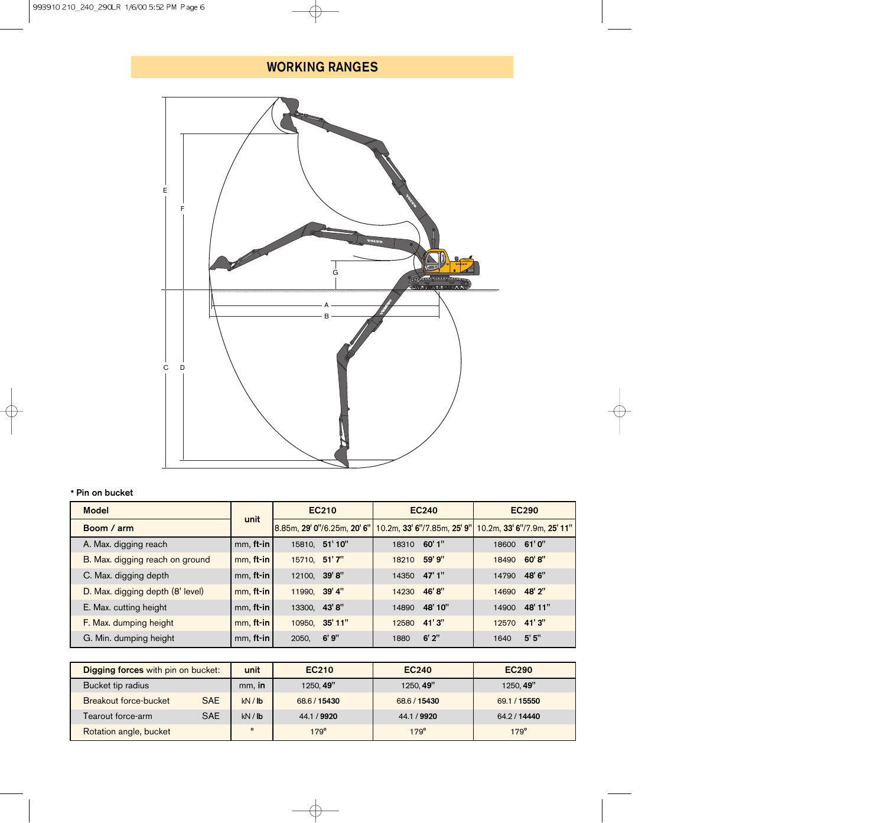# WORKING RANGES



#### • Pin on bucket

| <b>Model</b>                     |                 | EC210                       | <b>EC240</b>                | <b>EC290</b>                |  |  |  |  |  |
|----------------------------------|-----------------|-----------------------------|-----------------------------|-----------------------------|--|--|--|--|--|
| Boom / arm                       | unit            | 8.85m, 29' 0"/6.25m, 20' 6" | 10.2m, 33' 6"/7.85m, 25' 9" | 10.2m, 33' 6"/7.9m, 25' 11" |  |  |  |  |  |
| A. Max. digging reach            | $mm,$ ft-in     | 15810, 51'10"               | 18310 60'1"                 | 18600 61'0"                 |  |  |  |  |  |
| B. Max. digging reach on ground  | $mm,$ ft-in     | 15710, 51'7"                | 59' 9"<br>18210             | 60'8"<br>18490              |  |  |  |  |  |
| C. Max. digging depth            | $mm,$ ft-in     | 12100, 39'8"                | 14350 47'1"                 | 48' 6"<br>14790             |  |  |  |  |  |
| D. Max. digging depth (8' level) | $mm,$ ft-in     | 11990, 39' 4"               | 46'8"<br>14230              | 48' 2"<br>14690             |  |  |  |  |  |
| E. Max. cutting height           | $mm,$ ft-in     | 13300, 43'8"                | 48' 10"<br>14890            | 48' 11"<br>14900            |  |  |  |  |  |
| F. Max. dumping height           | $mm,$ ft-in     | 10950, 35'11"               | 41'3"<br>12580              | 41'3"<br>12570              |  |  |  |  |  |
| G. Min. dumping height           | $mm,$ ft-in $ $ | 6'9''<br>2050,              | $6'$ 2"<br>1880             | 5'5''<br>1640               |  |  |  |  |  |

| Digging forces with pin on bucket: |            | unit    | <b>EC210</b> | <b>EC240</b> | <b>EC290</b> |
|------------------------------------|------------|---------|--------------|--------------|--------------|
| Bucket tip radius                  |            | mm, in  | 1250.49"     | 1250.49"     | 1250, 49"    |
| Breakout force-bucket              | <b>SAE</b> | kN / lb | 68.6 / 15430 | 68.6 / 15430 | 69.1 / 15550 |
| Tearout force-arm                  | <b>SAE</b> | kN / lb | 44.1 / 9920  | 44.1 / 9920  | 64.2 / 14440 |
| Rotation angle, bucket             |            | $\circ$ | $179^\circ$  | $179^\circ$  | $179^\circ$  |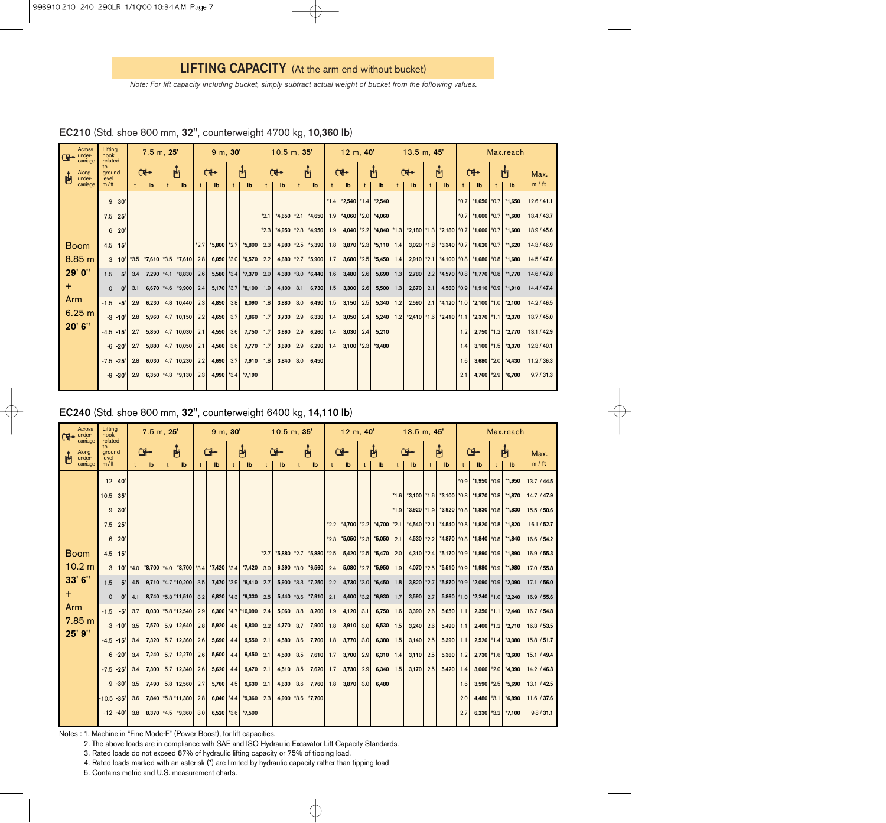*Note: For lift capacity including bucket, simply subtract actual weight of bucket from the following values.*

| Across<br>under-<br>$\mathbf{F}$ | Lifting<br>hook                             |           |              | 7.5 m, 25'   |              |                           |              | $9 \, m, 30'$ |            |          |              | $10.5$ m, $35'$           |                  |          |              | $12 \, m, 40'$            |              |                                                |              | $13.5$ m, $45'$ |     |                                 | Max.reach |                                             |   |                   |             |
|----------------------------------|---------------------------------------------|-----------|--------------|--------------|--------------|---------------------------|--------------|---------------|------------|----------|--------------|---------------------------|------------------|----------|--------------|---------------------------|--------------|------------------------------------------------|--------------|-----------------|-----|---------------------------------|-----------|---------------------------------------------|---|-------------------|-------------|
| carriage<br>Along<br>禸<br>under- | related<br>$\mathsf{to}$<br>ground<br>level |           |              | Œ.           |              | 凸                         | Œ.           |               |            | 禸        |              | Œ.                        |                  | 占        |              | Œ.                        |              | 由                                              |              | $\mathbb{F}$    |     | 内                               |           | Œ⊷                                          | 占 |                   | Max.        |
| carriage                         | $m / \text{ft}$                             |           | $^{\dagger}$ | Ib           | $^{\dagger}$ | $\mathsf{I}^{\mathsf{b}}$ | $^{\dagger}$ | Ib            | $\ddagger$ | lb       | $^{\dagger}$ | $\mathsf{I}^{\mathsf{b}}$ | $^{\dagger}$     | lb       | $^{\dagger}$ | $\mathsf{I}^{\mathsf{b}}$ | $^{\dagger}$ | $\mathbf{I}$                                   | $^{\dagger}$ | $\mathbf{I}$    |     | Ib                              |           | $\mathsf{I}^{\mathsf{b}}$                   |   | $\mathbf{I}$      | m / ft      |
|                                  | 9                                           | 30'       |              |              |              |                           |              |               |            |          |              |                           |                  |          | $*1.4$       | $*2,540$ *1.4             |              | $*2,540$                                       |              |                 |     |                                 | $*0.7$    | *1,650 $*0.7$                               |   | $*1,650$          | 12.6 / 41.1 |
|                                  | 7.5                                         | 25'       |              |              |              |                           |              |               |            |          | $*2.1$       | $*4,650$ $*2.1$           |                  | $*4,650$ | 1.9          |                           |              | $*4,060$ $*2.0$ $*4,060$                       |              |                 |     |                                 | $*0.7$    | *1,600 $*0.7$                               |   | $*1,600$          | 13.4 / 43.7 |
|                                  | 6                                           | 20'       |              |              |              |                           |              |               |            |          | $*2.3$       | $*4,950$                  | $*2.3$           | $*4.950$ | 1.9          |                           |              | 4,040 $\vert$ *2.2 $\vert$ *4,840 $\vert$ *1.3 |              |                 |     | $*2,180$ $*1.3$ $*2,180$ $*0.7$ |           | *1,600 $*0.7$                               |   | $*1,600$          | 13.9 / 45.6 |
| <b>Boom</b>                      | $4.5$ 15'                                   |           |              |              |              |                           | $*2.7$       | $*5,800$      | $*2.7$     | $*5,800$ | 2.3          | 4,980                     | $*2.5$           | $*5,390$ | 1.8          |                           |              | $3,870$ *2.3 *5,110 1.4                        |              |                 |     | $3,020$ *1.8 *3,340 *0.7        |           | $*1,620$ $*0.7$ $*1,620$                    |   |                   | 14.3 / 46.9 |
| 8.85 m                           |                                             | $3 \t10'$ |              |              |              | *3.5 *7,610 *3.5 *7,610   | 2.8          | $6,050$ *3.0  |            | $*6,570$ | 2.2          | 4,680 $*2.7$              |                  | $*5,900$ | 1.7          | $3,680$ *2.5              |              | $*5,450$ 1.4                                   |              | $2,910$ *2.1    |     | $*4,100$ $*0.8$                 |           | $*1,680$ $*0.8$                             |   | $*1,680$          | 14.5/47.6   |
| 29' 0"                           | 1.5                                         | 5'        | 3.4          | $7,290$ *4.1 |              | $*8,830$                  | 2.6          | $5,580$ *3.4  |            | $*7,370$ | 2.0          | 4,380 $ *3.0 $            |                  | $*6,440$ | 1.6          | 3,480                     | 2.6          | $5,690$ 1.3                                    |              | 2,780           |     |                                 |           | 2.2 *4,570 *0.8 *1,770 *0.8                 |   | $*1,770$          | 14.6 / 47.8 |
| $\pm$                            | $\Omega$                                    | 0'        | 3.1          |              |              | $6,670$ *4.6 *9,900       | 2.4          | $5,170$ *3.7  |            | $*8,100$ | 1.9          | 4,100 $ 3.1 $             |                  | 6,730    | 1.5          | 3,300                     | 2.6          | 5,500                                          | 1.3          | 2,670           | 2.1 |                                 |           | 4,560 $\mid$ *0.9 $\mid$ *1,910 $\mid$ *0.9 |   | $*1,910$          | 14.4 / 47.4 |
| Arm                              | $-1.5$                                      | $-5'$     | 2.9          | 6,230        |              | $4.8$ 10,440              | 2.3          | 4,850         | 3.8        | 8,090    | 1.8          | 3,880                     | 3.0              | 6,490    | 1.5          | 3,150                     | 2.5          | 5,340                                          | 1.2          | 2,590           | 2.1 | $*4,120$ $*1.0$                 |           | $*2,100$ $*1.0$                             |   | $*2,100$          | 14.2 / 46.5 |
| 6.25 m                           | $-3 - 10'$                                  |           | 2.8          | 5,960        |              | $4.7$ 10,150              | 2.2          | 4,650         | 3.7        | 7,860    | 1.7          | 3,730                     | 2.9              | 6,330    | 1.4          | 3,050                     | 2.4          | $5,240$ 1.2                                    |              |                 |     | $*2,410$ $*1.6$ $*2,410$ $*1.1$ |           | $*2,370$ $*1.1$                             |   | $*2,370$          | 13.7/45.0   |
| 20' 6"                           | $-4.5 - 15'$                                |           | 2.7          | 5,850        |              | $4.7$ 10,030              | 2.1          | 4,550         | 3.6        | 7,750    | 1.7          | 3,660                     | 2.9              | 6,260    | 1.4          | 3,030                     | 2.4          | 5,210                                          |              |                 |     |                                 | 1.2       |                                             |   | 2,750 *1.2 *2,770 | 13.1/42.9   |
|                                  | $-6 - 20'$                                  |           | 2.7          | 5,880        |              | $4.7$ 10,050              | 2.1          | 4,560         | 3.6        | 7,770    | 1.7          | 3,690                     | 2.9              | 6,290    | 1.4          | $3,100$ *2.3              |              | $*3.480$                                       |              |                 |     |                                 | 1.4       | $3,100$ *1.5                                |   | $*3,370$          | 12.3 / 40.1 |
|                                  | $-7.5 - 25'$                                |           | 2.8          |              |              | $6,030$ 4.7 10,230        | 2.2          | 4,690         | 3.7        | 7,910    | 1.8          | 3,840                     | 3.0 <sub>1</sub> | 6.450    |              |                           |              |                                                |              |                 |     |                                 | 1.6       |                                             |   | 3,680 *2.0 *4,430 | 11.2 / 36.3 |
|                                  | $-9 - 30'$                                  |           | 2.9          |              |              | $6,350$ *4.3 *9,130       | 2.3          | 4,990 *3.4    |            | $*7,190$ |              |                           |                  |          |              |                           |              |                                                |              |                 |     |                                 | 2.1       | $4,760$ *2.9                                |   | $*6,700$          | 9.7 / 31.3  |

| EC210 (Std. shoe 800 mm, 32", counterweight 4700 kg, 10,360 lb) |  |  |  |  |
|-----------------------------------------------------------------|--|--|--|--|
|-----------------------------------------------------------------|--|--|--|--|

## EC240 (Std. shoe 800 mm, 32", counterweight 6400 kg, 14,110 lb)

| Across<br>under-<br>(Tilori<br>carriage | Lifting<br>hook<br>related |                 |        | $7.5$ m, $25'$ |              |                                                                                                   |              | $9 \, m, 30'$ |              |                    |              | $10.5$ m, $35'$   |     |              |        | 12 m, 40'    |                  |                 |        | $13.5$ m, $45'$ |     |                                 | Max.reach |                 |      |                           |             |
|-----------------------------------------|----------------------------|-----------------|--------|----------------|--------------|---------------------------------------------------------------------------------------------------|--------------|---------------|--------------|--------------------|--------------|-------------------|-----|--------------|--------|--------------|------------------|-----------------|--------|-----------------|-----|---------------------------------|-----------|-----------------|------|---------------------------|-------------|
| Along<br>under-                         | to<br>ground<br>level      |                 | 甴<br>Œ |                |              | 禸<br>Œ⊷                                                                                           |              |               | Ċ۲           |                    |              | 禸                 |     | $\mathbf{G}$ |        | 凸            |                  | Œ⊷              |        | 内               |     | Œ-                              |           | 禸               | Max. |                           |             |
| carriage                                | m/ft                       |                 |        | lb             | $^{\dagger}$ | Ib                                                                                                | $\mathbf{t}$ | Ib            | $\mathbf{t}$ | lb                 | $^{\dagger}$ | lb                | t   | lb           |        | $\mathbf{I}$ | t                | $\mathbf{I}$    | t.     | Ib              |     | $\mathsf{I}^{\mathsf{b}}$       | t.        | lb              |      | $\mathsf{I}^{\mathsf{b}}$ | m / ft      |
|                                         | 12 40                      |                 |        |                |              |                                                                                                   |              |               |              |                    |              |                   |     |              |        |              |                  |                 |        |                 |     |                                 | $*0.9$    | $*1,950$ $*0.9$ |      | $*1,950$                  | 13.7 / 44.5 |
|                                         | 10.5 35                    |                 |        |                |              |                                                                                                   |              |               |              |                    |              |                   |     |              |        |              |                  |                 | $*1.6$ |                 |     | $*3,100$ $*1.6$ $*3,100$ $*0.8$ |           | $*1,870$ $*0.8$ |      | $*1,870$                  | 14.7 / 47.9 |
|                                         | 9                          | 30 <sup>°</sup> |        |                |              |                                                                                                   |              |               |              |                    |              |                   |     |              |        |              |                  |                 | $*1.9$ | $*3,920 *1.9 $  |     | $*3,920 *0.8$                   |           | $*1,830$ $*0.8$ |      | $*1,830$                  | 15.5 / 50.6 |
|                                         | $7.5$ 25                   |                 |        |                |              |                                                                                                   |              |               |              |                    |              |                   |     |              | $*2.2$ | $*4,700$     | $*2.2$           | $*4,700$ $*2.1$ |        | $*4,540$ $*2.1$ |     | $*4,540$ $*0.8$                 |           | $*1,820$ $*0.8$ |      | $*1,820$                  | 16.1/52.7   |
|                                         |                            | 6 20            |        |                |              |                                                                                                   |              |               |              |                    |              |                   |     |              | $*2.3$ | $*5,050$     | $*2.3$           | $*5,050$        | 2.1    | 4,530 *2.2      |     | $*4,870$ $*0.8$                 |           | $*1,840$ $*0.8$ |      | $*1,840$                  | 16.6 / 54.2 |
| <b>Boom</b>                             | 4.5 15                     |                 |        |                |              |                                                                                                   |              |               |              |                    | $*2.7$       | $*$ 5,880 $*$ 2.7 |     | $*5,880$     | $*2.5$ | $5,420$ *2.5 |                  | $*5,470$        | 2.0    | 4,310 *2.4      |     | $*5,170$ $*0.9$                 |           |                 |      | *1,890   *0.9   *1,890    | 16.9 / 55.3 |
| 10.2 m                                  |                            |                 |        |                |              | $3$ 10' $\mid$ *4.0 $\mid$ *8,700 $\mid$ *4.0 $\mid$ *8,700 $\mid$ *3.4 $\mid$ *7,420 $\mid$ *3.4 |              |               |              | $*7,420$           | 3.0          | $6,390$ *3.0      |     | $*6,560$     | 2.4    | $5,080$ *2.7 |                  | $*5,950$ 1.9    |        | 4,070 *2.5      |     | $*5,510$ $*0.9$                 |           | $*1,980$ $*0.9$ |      | $*1,980$                  | 17.0 / 55.8 |
| 33' 6"                                  | 1.5                        | 5'              | 4.5    |                |              | $9,710$ *4.7 *10,200                                                                              | 3.5          | 7,470 *3.9    |              | $*8,410$           | 2.7          | $5,900$ *3.3      |     | $*7,250$     | 2.2    | $4,730$ *3.0 |                  | $*6,450$        | 1.8    | $3,820$ *2.7    |     | $*5,870$ $*0.9$                 |           | $*2,090 *0.9 $  |      | $*2,090$                  | 17.1 / 56.0 |
| $^+$                                    | $\Omega$                   | 0'              | 4.1    |                |              | 8,740 * 5.3 * 11,510                                                                              | 3.2          | $6,820$ *4.3  |              | $*9,330$           | 2.5          | $5,440$ *3.6      |     | $*7,910$     | 2.1    | 4,400 $*3.2$ |                  | $*6,930$ 1.7    |        | 3,590           | 2.7 | $5,860$ *1.0                    |           | $*2,240 *1.0 $  |      | $*2,240$                  | 16.9 / 55.6 |
| Arm                                     | $-1.5$                     | $-5'$           | 3.7    |                |              | 8,030 * 5.8 * 12,540                                                                              | 2.9          |               |              | 6,300 *4.7 *10,090 | 2.4          | 5,060             | 3.8 | 8,200        | 1.9    | 4,120        | 3.1              | 6,750           | 1.6    | 3,390           | 2.6 | $5,650$ 1.1                     |           | $2,350$ *1.1    |      | $*2,440$                  | 16.7 / 54.8 |
| 7.85 m                                  |                            | $-3 - 10'$      | 3.5    | 7,570          |              | $5.9$ 12,640                                                                                      | 2.8          | 5,920         | 4.6          | 9,800              | 2.2          | 4,770             | 3.7 | 7,900        | 1.8    | 3,910        | 3.0              | $6,530$ 1.5     |        | 3,240           | 2.6 | $5,490$ 1.1                     |           | $2,400$ *1.2    |      | $*2,710$                  | 16.3 / 53.5 |
| 25' 9"                                  |                            | $-4.5 - 15$     | 3.4    | 7,320          |              | $5.7$ 12,360                                                                                      | 2.6          | 5,690         | 4.4          | 9,550              | 2.1          | 4,580             | 3.6 | 7,700        | 1.8    | 3,770        | 3.0              | 6,380   1.5     |        | 3,140           | 2.5 | $5,390$ 1.1                     |           | $2,520$ *1.4    |      | $*3,080$                  | 15.8 / 51.7 |
|                                         |                            | $-6 - 20'$      | 3.4    | 7,240          |              | $5.7$ 12,270                                                                                      | 2.6          | 5,600         | 4.4          | 9,450              | 2.1          | 4,500             | 3.5 | 7,610        | 1.7    | 3,700        | 2.9              | 6,310   $1.4$   |        | 3,110           | 2.5 | 5,360                           | 1.2       | $2,730$ *1.6    |      | $*3.600$                  | 15.1 / 49.4 |
|                                         | $-7.5$                     | $-25'$          | 3.4    | 7,300          |              | $5.7$ 12,340                                                                                      | 2.6          | 5,620         | 4.4          | 9,470              | 2.1          | 4,510             | 3.5 | 7,620        | 1.7    | 3,730        | 2.9              | $6,340$ 1.5     |        | 3,170           | 2.5 | 5,420                           | 1.4       | $3,060$ *2.0    |      | $*4,390$                  | 14.2 / 46.3 |
|                                         | $-9 - 30'$                 |                 | 3.5    | 7,490          |              | $5.8$ 12,560                                                                                      | 2.7          | 5,760         | 4.5          | 9,630              | 2.1          | 4,630             | 3.6 | 7,760        | 1.8    | 3,870        | 3.0 <sub>1</sub> | 6,480           |        |                 |     |                                 | 1.6       | $3,590$ *2.5    |      | $*5,690$                  | 13.1 / 42.5 |
|                                         |                            | $-10.5 - 35'$   | 3.6    |                |              | 7,840 * 5.3 * 11,380                                                                              | 2.8          | 6,040 $*4.4$  |              | $*9,360$           | 2.3          | $4,900$ *3.6      |     | *7,700       |        |              |                  |                 |        |                 |     |                                 | 2.0       | 4,480 $*3.1$    |      | $*6,890$                  | 11.6 / 37.6 |
|                                         |                            | $-12 - 40'$     | 3.8    |                |              | $8,370$ *4.5 *9,360                                                                               | 3.0          | $6,520$ *3.6  |              | $*7,500$           |              |                   |     |              |        |              |                  |                 |        |                 |     |                                 | 2.7       |                 |      | 6,230 $*3.2$ $*7,100$     | 9.8 / 31.1  |

Notes : 1. Machine in "Fine Mode-F" (Power Boost), for lift capacities.

2. The above loads are in compliance with SAE and ISO Hydraulic Excavator Lift Capacity Standards.

3. Rated loads do not exceed 87% of hydraulic lifting capacity or 75% of tipping load.

4. Rated loads marked with an asterisk (\*) are limited by hydraulic capacity rather than tipping load

5. Contains metric and U.S. measurement charts.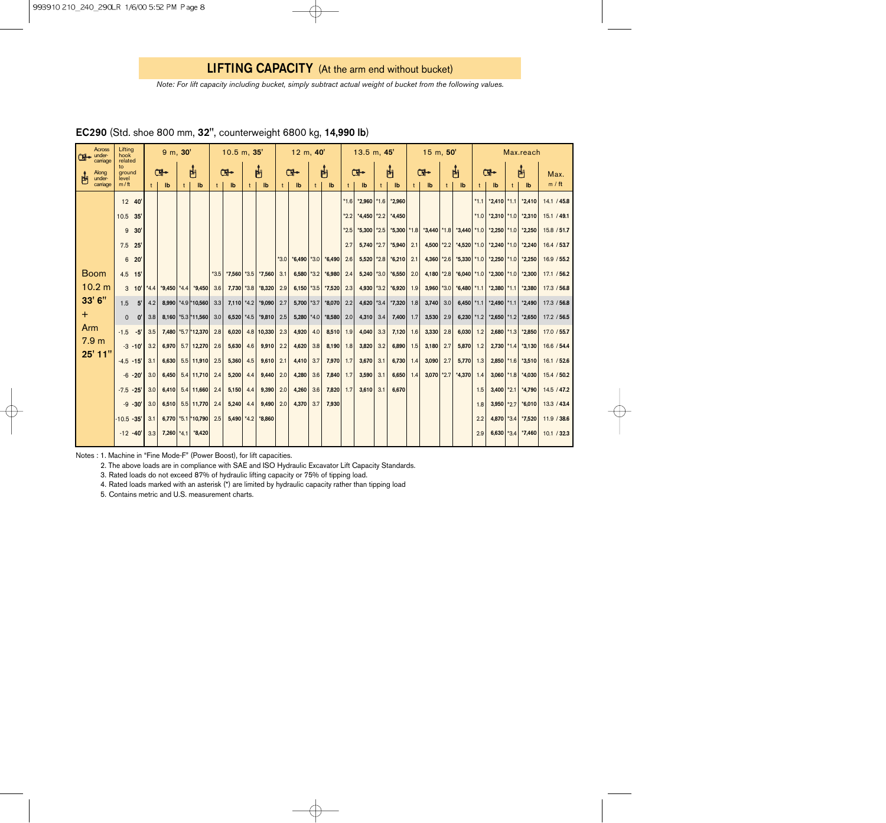*Note: For lift capacity including bucket, simply subtract actual weight of bucket from the following values.*

| Across<br>$\Box$ under-<br>carriage<br>Along<br>under- |  | Lifting<br>hook<br>related<br>to<br>ground<br>level |                       | 9 m, 30'         |              |     |                          | 10.5 m, 35'      |              |              |              | $12 \, m, 40'$ |                 |              |          | 13.5 m, 45' |                           |     |                                 | 15 m, 50' |                    |              |                                 | Max.reach |                                 |        |                                          |             |
|--------------------------------------------------------|--|-----------------------------------------------------|-----------------------|------------------|--------------|-----|--------------------------|------------------|--------------|--------------|--------------|----------------|-----------------|--------------|----------|-------------|---------------------------|-----|---------------------------------|-----------|--------------------|--------------|---------------------------------|-----------|---------------------------------|--------|------------------------------------------|-------------|
|                                                        |  |                                                     |                       | Œ-               |              | 凸   |                          | Œ.               |              |              | 凸            |                | Ċŀ              |              | 凸        |             | Œ.                        |     | 禸                               |           | Œ.                 |              | 禸                               |           | Œ.                              |        | 西                                        | Max.        |
| carriage                                               |  | $m / \text{ft}$                                     |                       |                  | $\mathbf{I}$ | $†$ | $\mathbf{I}$             | $^{\dagger}$     | $\mathbf{I}$ | $^{\dagger}$ | $\mathbf{I}$ | $^{\dagger}$   | $\mathbf{I}$    | $^{\dagger}$ | Ib       |             | $\mathsf{I}^{\mathsf{b}}$ | $†$ | $\mathbf{I}$                    | t         | $\mathbf{I}$       | $^{\dagger}$ | $\mathbf{I}$                    | $+$ $-$   | $\mathsf{I}^{\mathsf{b}}$       |        | Ib                                       | m / ft      |
|                                                        |  | 12 40'                                              |                       |                  |              |     |                          |                  |              |              |              |                |                 |              |          | $*1.6$      | $*2,960$ $*1.6$           |     | $*2,960$                        |           |                    |              |                                 | $*1.1$    | $*2,410$                        | $*1.1$ | $*2,410$                                 | 14.1 / 45.8 |
|                                                        |  | 10.5                                                | 35'                   |                  |              |     |                          |                  |              |              |              |                |                 |              |          | $*2.2$      |                           |     | $*4,450$ $*2.2$ $*4,450$        |           |                    |              |                                 | $*1.0$    |                                 |        | $*2,310$ $*1.0$ $*2,310$                 | 15.1 / 49.1 |
|                                                        |  | 9                                                   | 30'                   |                  |              |     |                          |                  |              |              |              |                |                 |              |          | $*2.5$      |                           |     | $*5,300$ $*2.5$ $*5,300$ $*1.8$ |           |                    |              | $*3,440$ $*1.8$ $*3,440$ $*1.0$ |           | $*2,250$ $*1.0$                 |        | $*2,250$                                 | 15.8 / 51.7 |
|                                                        |  | $7.5$ 25                                            |                       |                  |              |     |                          |                  |              |              |              |                |                 |              |          | 2.7         | $5.740 \times 2.7$        |     | $*5.940$                        | 2.1       | $4.500 \times 2.2$ |              |                                 |           |                                 |        | $*4,520$ $*1.0$ $*2,240$ $*1.0$ $*2,240$ | 16.4 / 53.7 |
|                                                        |  | 6                                                   | 20'                   |                  |              |     |                          |                  |              |              |              | $*3.0$         | $*6.490$ $*3.0$ |              | $*6.490$ | 2.6         | $5,520$ *2.8              |     | $*6,210$                        | 2.1       | $4,360$ *2.6       |              |                                 |           | *5,330 *1.0 *2,250 *1.0 *2,250  |        |                                          | 16.9 / 55.2 |
| <b>Boom</b>                                            |  | $4.5$ 15                                            |                       |                  |              |     |                          | $*3.5$           | *7,560 *3.5  |              | $*7,560$     | 3.1            | 6,580           | $*3.2$       | $*6.980$ | 2.4         |                           |     | 5,240 *3.0 *6,550               | 2.0       | $4.180$ *2.8       |              |                                 |           | $*6,040$ $*1.0$ $*2,300$ $*1.0$ |        | $*2.300$                                 | 17.1 / 56.2 |
| 10.2 m                                                 |  |                                                     | $3 \t10'$             | $*4.4$           |              |     | $*9,450$ $*4.4$ $*9,450$ | 3.6              | 7,730 *3.8   |              | $*8,320$     | 2.9            | $6,150$ *3.5    |              | $*7,520$ | 2.3         |                           |     | 4,930 * 3.2 * 6,920             | 1.9       | $3,960$ *3.0       |              | $*6,480$ *1.1                   |           | $*2,380$ $*1.1$                 |        | $*2.380$                                 | 17.3 / 56.8 |
| 33' 6"                                                 |  | 1.5                                                 | 5'                    | 4.2              |              |     | 8,990 *4.9 *10,560       | 3.3              | $7,110$ *4.2 |              | $*9,090$     | 2.7            | 5,700 $*3.7$    |              | $*8,070$ | 2.2         | 4,620 $*3.4$              |     | $*7,320$                        | 1.8       | 3,740              | 3.0          | 6,450 $*1.1$                    |           | $*2,490$ $*1.1$                 |        | $*2,490$                                 | 17.3 / 56.8 |
| $+$                                                    |  | $\Omega$                                            | $\mathbf{0}^{\prime}$ | 3.8              |              |     | $8.160$ *5.3 *11.560     | 3.0 <sub>1</sub> | 6,520 $*4.5$ |              | $*9.810$     | 2.5            | $5,280$ *4.0    |              | $*8,580$ | 2.0         | 4,310                     | 3.4 | 7,400                           | 1.7       | 3,530              | 2.9          | $6,230$ *1.2                    |           | $*2,650$ $*1.2$                 |        | $*2,650$                                 | 17.2 / 56.5 |
| Arm                                                    |  | $-1.5$                                              | $-5'$                 | 3.5              |              |     | 7,480 *5.7 *12,370       | 2.8              | 6,020        |              | $4.8$ 10,330 | 2.3            | 4,920           | 4.0          | 8,510    | 1.9         | 4,040                     | 3.3 | 7,120                           | 1.6       | 3,330              | 2.8          | $6,030$ 1.2                     |           | $2,680$ *1.3                    |        | $*2,850$                                 | 17.0 / 55.7 |
| 7.9 <sub>m</sub>                                       |  |                                                     | $-3 - 10'$            | 3.2              | 6.970        |     | $5.7$ 12,270             | 2.6              | 5,630        | 4.6          | $9,910$ 2.2  |                | 4,620           | 3.8          | 8,190    | 1.8         | 3,820                     | 3.2 | 6,890                           | 1.5       | 3,180              | 2.7          | $5,870$ 1.2                     |           |                                 |        | $2,730$ *1.4 *3,130                      | 16.6 / 54.4 |
| 25' 11"                                                |  | $-4.5$                                              | $-15'$                | 3.1              | 6,630        |     | $5.5$ 11,910             | 2.5              | 5,360        | 4.5          | $9,610$ 2.1  |                | 4,410           | 3.7          | 7,970    | 1.7         | 3,670                     | 3.1 | 6,730                           | 1.4       | 3,090              | 2.7          | $5,770$ 1.3                     |           |                                 |        | $2,850$ *1.6 *3,510                      | 16.1 / 52.6 |
|                                                        |  |                                                     | $-6 - 20'$            | 3.0 <sub>1</sub> | 6,450        |     | $5.4$ 11,710             | 2.4              | 5,200        | 4.4          | 9,440        | 2.0            | 4,280           | 3.6          | 7,840    | 1.7         | 3,590                     | 3.1 | 6,650                           | 1.4       | $3,070$ *2.7       |              | $*4,370$ 1.4                    |           |                                 |        | $3,060$ *1.8 *4,030                      | 15.4 / 50.2 |
|                                                        |  | $-7.5$                                              | $-25$                 | 3.0              | 6,410        |     | $5.4$   11,660           | 2.4              | 5,150        | 4.4          | 9,390        | 2.0            | 4,260           | 3.6          | 7,820    | 1.7         | 3,610                     | 3.1 | 6,670                           |           |                    |              |                                 | 1.5       | $3,400$ *2.1                    |        | *4,790                                   | 14.5 / 47.2 |
|                                                        |  |                                                     | $-9 - 30'$            | 3.0 <sub>1</sub> | 6,510        |     | $5.5$ 11,770             | 2.4              | 5,240        | 4.4          | 9,490        | 2.0            | 4,370           | 3.7          | 7,930    |             |                           |     |                                 |           |                    |              |                                 | 1.8       | $3,950$ *2.7                    |        | $*6,010$                                 | 13.3 / 43.4 |
|                                                        |  | $-10.5 - 35'$                                       |                       | 3.1              |              |     | 6,770 * 5.1 * 10,790     | 2.5              | $5,490$ *4.2 |              | $*8,860$     |                |                 |              |          |             |                           |     |                                 |           |                    |              |                                 | 2.2       |                                 |        | 4,870 * 3.4 * 7,520                      | 11.9 / 38.6 |
|                                                        |  | $-12 - 40'$                                         |                       | 3.3              | $7,260$ *4.1 |     | *8,420                   |                  |              |              |              |                |                 |              |          |             |                           |     |                                 |           |                    |              |                                 | 2.9       | 6,630                           | $*3.4$ | $*7,460$                                 | 10.1 / 32.3 |

## EC290 (Std. shoe 800 mm, 32", counterweight 6800 kg, 14,990 lb)

Notes : 1. Machine in "Fine Mode-F" (Power Boost), for lift capacities.

2. The above loads are in compliance with SAE and ISO Hydraulic Excavator Lift Capacity Standards.

3. Rated loads do not exceed 87% of hydraulic lifting capacity or 75% of tipping load.

4. Rated loads marked with an asterisk (\*) are limited by hydraulic capacity rather than tipping load

5. Contains metric and U.S. measurement charts.